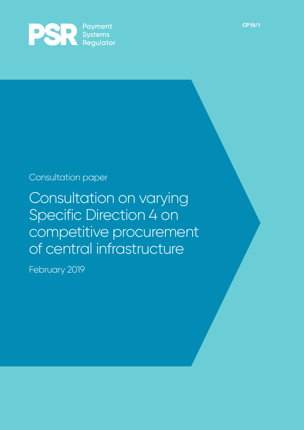

### Consultation paper

Consultation on varying Specific Direction 4 on competitive procurement of central infrastructure

February 2019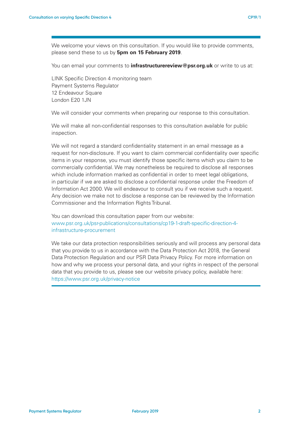We welcome your views on this consultation. If you would like to provide comments, please send these to us by **5pm on 15 February 2019**.

You can email your comments to **infrastructurereview@psr.org.uk** or write to us at:

LINK Specific Direction 4 monitoring team Payment Systems Regulator 12 Endeavour Square London E20 1JN

We will consider your comments when preparing our response to this consultation.

We will make all non-confidential responses to this consultation available for public inspection.

We will not regard a standard confidentiality statement in an email message as a request for non-disclosure. If you want to claim commercial confidentiality over specific items in your response, you must identify those specific items which you claim to be commercially confidential. We may nonetheless be required to disclose all responses which include information marked as confidential in order to meet legal obligations, in particular if we are asked to disclose a confidential response under the Freedom of Information Act 2000. We will endeavour to consult you if we receive such a request. Any decision we make not to disclose a response can be reviewed by the Information Commissioner and the Information Rights Tribunal.

You can download this consultation paper from our website: www.psr.org.uk/psr-publications/consultations/cp19-1-draft-specific-direction-4 infrastructure-procurement

We take our data protection responsibilities seriously and will process any personal data that you provide to us in accordance with the Data Protection Act 2018, the General Data Protection Regulation and our PSR Data Privacy Policy. For more information on how and why we process your personal data, and your rights in respect of the personal data that you provide to us, please see our website privacy policy, available here: https://www.psr.org.uk/privacy-notice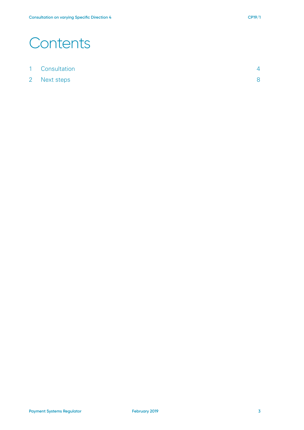### **Contents**

2 Next steps 8 8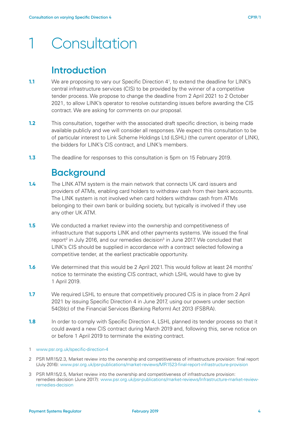# 1 Consultation

#### **Introduction**

- **1.1** We are proposing to vary our Specific Direction 4<sup>1</sup>, to extend the deadline for LINK's central infrastructure services (CIS) to be provided by the winner of a competitive tender process. We propose to change the deadline from 2 April 2021 to 2 October 2021, to allow LINK's operator to resolve outstanding issues before awarding the CIS contract. We are asking for comments on our proposal.
- **1.2** This consultation, together with the associated draft specific direction, is being made available publicly and we will consider all responses. We expect this consultation to be of particular interest to Link Scheme Holdings Ltd (LSHL) (the current operator of LINK), the bidders for LINK's CIS contract, and LINK's members.
- **1.3** The deadline for responses to this consultation is 5pm on 15 February 2019.

#### **Background**

- **1.4** The LINK ATM system is the main network that connects UK card issuers and providers of ATMs, enabling card holders to withdraw cash from their bank accounts. The LINK system is not involved when card holders withdraw cash from ATMs belonging to their own bank or building society, but typically is involved if they use any other UK ATM.
- **1.5** We conducted a market review into the ownership and competitiveness of infrastructure that supports LINK and other payments systems. We issued the final report<sup>2</sup> in July 2016, and our remedies decision<sup>3</sup> in June 2017. We concluded that LINK's CIS should be supplied in accordance with a contract selected following a competitive tender, at the earliest practicable opportunity.
- **1.6** We determined that this would be 2 April 2021. This would follow at least 24 months' notice to terminate the existing CIS contract, which LSHL would have to give by 1 April 2019.
- **1.7** We required LSHL to ensure that competitively procured CIS is in place from 2 April 2021 by issuing Specific Direction 4 in June 2017, using our powers under section 54(3)(c) of the Financial Services (Banking Reform) Act 2013 (FSBRA).
- **1.8** In order to comply with Specific Direction 4, LSHL planned its tender process so that it could award a new CIS contract during March 2019 and, following this, serve notice on or before 1 April 2019 to terminate the existing contract.

- 2 PSR MR15/2.3, Market review into the ownership and competitiveness of infrastructure provision: final report (July 2016): www.psr.org.uk/psr-publications/market-reviews/MR1523-final-report-infrastructure-provision
- 3 PSR MR15/2.5, Market review into the ownership and competitiveness of infrastructure provision: remedies decision (June 2017): www.psr.org.uk/psr-publications/market-reviews/Infrastructure-market-reviewremedies-decision

<sup>1</sup> www.psr.org.uk/specific-direction-4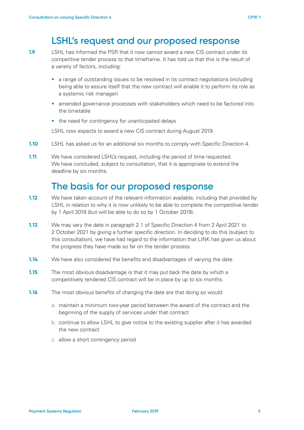#### **LSHL's request and our proposed response**

**1.9** LSHL has informed the PSR that it now cannot award a new CIS contract under its competitive tender process to that timeframe. It has told us that this is the result of a variety of factors, including:

- a range of outstanding issues to be resolved in its contract negotiations (including being able to assure itself that the new contract will enable it to perform its role as a systemic risk manager)
- amended governance processes with stakeholders which need to be factored into the timetable
- the need for contingency for unanticipated delays

LSHL now expects to award a new CIS contract during August 2019.

- **1.10** LSHL has asked us for an additional six months to comply with Specific Direction 4.
- **1.11** We have considered LSHL's request, including the period of time requested. We have concluded, subject to consultation, that it is appropriate to extend the deadline by six months.

#### **The basis for our proposed response**

- **1.12** We have taken account of the relevant information available, including that provided by LSHL in relation to why it is now unlikely to be able to complete the competitive tender by 1 April 2019 (but will be able to do so by 1 October 2019).
- **1.13** We may vary the date in paragraph 2.1 of Specific Direction 4 from 2 April 2021 to 2 October 2021 by giving a further specific direction. In deciding to do this (subject to this consultation), we have had regard to the information that LINK has given us about the progress they have made so far on the tender process.
- **1.14** We have also considered the benefits and disadvantages of varying the date.
- **1.15** The most obvious disadvantage is that it may put back the date by which a competitively tendered CIS contract will be in place by up to six months.
- **1.16** The most obvious benefits of changing the date are that doing so would:
	- a. maintain a minimum two-year period between the award of the contract and the beginning of the supply of services under that contract
	- b. continue to allow LSHL to give notice to the existing supplier after it has awarded the new contract
	- c. allow a short contingency period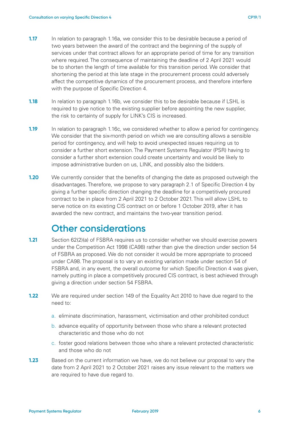- **1.17** In relation to paragraph 1.16a, we consider this to be desirable because a period of two years between the award of the contract and the beginning of the supply of services under that contract allows for an appropriate period of time for any transition where required. The consequence of maintaining the deadline of 2 April 2021 would be to shorten the length of time available for this transition period. We consider that shortening the period at this late stage in the procurement process could adversely affect the competitive dynamics of the procurement process, and therefore interfere with the purpose of Specific Direction 4.
- **1.18** In relation to paragraph 1.16b, we consider this to be desirable because if LSHL is required to give notice to the existing supplier before appointing the new supplier, the risk to certainty of supply for LINK's CIS is increased.
- **1.19** In relation to paragraph 1.16c, we considered whether to allow a period for contingency. We consider that the six-month period on which we are consulting allows a sensible period for contingency, and will help to avoid unexpected issues requiring us to consider a further short extension. The Payment Systems Regulator (PSR) having to consider a further short extension could create uncertainty and would be likely to impose administrative burden on us, LINK, and possibly also the bidders.
- **1.20** We currently consider that the benefits of changing the date as proposed outweigh the disadvantages. Therefore, we propose to vary paragraph 2.1 of Specific Direction 4 by giving a further specific direction changing the deadline for a competitively procured contract to be in place from 2 April 2021 to 2 October 2021. This will allow LSHL to serve notice on its existing CIS contract on or before 1 October 2019, after it has awarded the new contract, and maintains the two-year transition period.

#### **Other considerations**

- **1.21** Section 62(2)(a) of FSBRA requires us to consider whether we should exercise powers under the Competition Act 1998 (CA98) rather than give the direction under section 54 of FSBRA as proposed. We do not consider it would be more appropriate to proceed under CA98. The proposal is to vary an existing variation made under section 54 of FSBRA and, in any event, the overall outcome for which Specific Direction 4 was given, namely putting in place a competitively procured CIS contract, is best achieved through giving a direction under section 54 FSBRA.
- **1.22** We are required under section 149 of the Equality Act 2010 to have due regard to the need to:
	- a. eliminate discrimination, harassment, victimisation and other prohibited conduct
	- b. advance equality of opportunity between those who share a relevant protected characteristic and those who do not
	- c. foster good relations between those who share a relevant protected characteristic and those who do not
- **1.23** Based on the current information we have, we do not believe our proposal to vary the date from 2 April 2021 to 2 October 2021 raises any issue relevant to the matters we are required to have due regard to.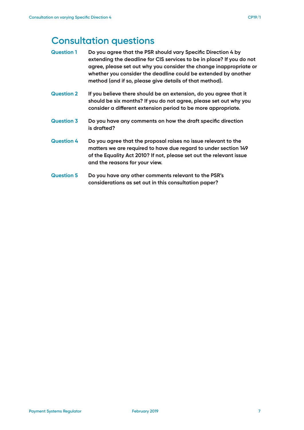#### **Consultation questions**

- **Question 1 Do you agree that the PSR should vary Specific Direction 4 by extending the deadline for CIS services to be in place? If you do not agree, please set out why you consider the change inappropriate or whether you consider the deadline could be extended by another method (and if so, please give details of that method).**
- **Question 2 If you believe there should be an extension, do you agree that it should be six months? If you do not agree, please set out why you consider a different extension period to be more appropriate.**
- **Question 3 Do you have any comments on how the draft specific direction is drafted?**
- **Question 4 Do you agree that the proposal raises no issue relevant to the matters we are required to have due regard to under section 149 of the Equality Act 2010? If not, please set out the relevant issue and the reasons for your view.**
- **Question 5 Do you have any other comments relevant to the PSR's considerations as set out in this consultation paper?**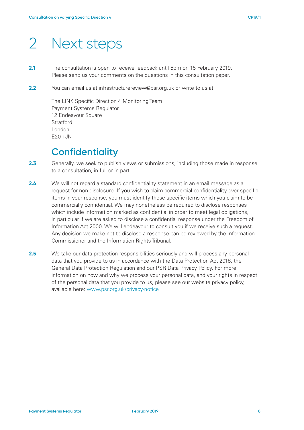## 2 Next steps

- **2.1** The consultation is open to receive feedback until 5pm on 15 February 2019. Please send us your comments on the questions in this consultation paper.
- **2.2** You can email us at infrastructurereview@psr.org.uk or write to us at:

The LINK Specific Direction 4 Monitoring Team Payment Systems Regulator 12 Endeavour Square **Stratford** London E20 1JN

#### **Confidentiality**

- **2.3** Generally, we seek to publish views or submissions, including those made in response to a consultation, in full or in part.
- **2.4** We will not regard a standard confidentiality statement in an email message as a request for non-disclosure. If you wish to claim commercial confidentiality over specific items in your response, you must identify those specific items which you claim to be commercially confidential. We may nonetheless be required to disclose responses which include information marked as confidential in order to meet legal obligations, in particular if we are asked to disclose a confidential response under the Freedom of Information Act 2000. We will endeavour to consult you if we receive such a request. Any decision we make not to disclose a response can be reviewed by the Information Commissioner and the Information Rights Tribunal.
- **2.5** We take our data protection responsibilities seriously and will process any personal data that you provide to us in accordance with the Data Protection Act 2018, the General Data Protection Regulation and our PSR Data Privacy Policy. For more information on how and why we process your personal data, and your rights in respect of the personal data that you provide to us, please see our website privacy policy, available here: www.psr.org.uk/privacy-notice